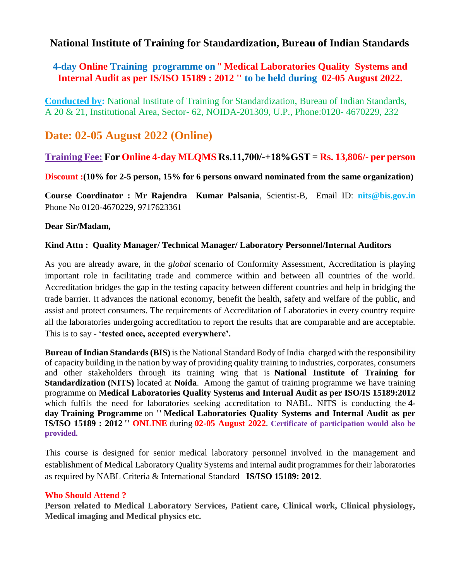## **National Institute of Training for Standardization, Bureau of Indian Standards**

### **4-day Online Training programme on** '' **Medical Laboratories Quality Systems and Internal Audit as per IS/ISO 15189 : 2012 '' to be held during 02-05 August 2022.**

**Conducted by:** National Institute of Training for Standardization, Bureau of Indian Standards, A 20 & 21, Institutional Area, Sector- 62, NOIDA-201309, U.P., Phone:0120- 4670229, 232

# **Date: 02-05 August 2022 (Online)**

### **Training Fee: For Online 4-day MLQMS Rs.11,700/-+18%GST** = **Rs. 13,806/- per person**

**Discount :(10% for 2-5 person, 15% for 6 persons onward nominated from the same organization)**

**Course Coordinator : Mr Rajendra Kumar Palsania**, Scientist-B, Email ID: **nits@bis.gov.in** Phone No 0120-4670229, 9717623361

### **Dear Sir/Madam,**

### **Kind Attn : Quality Manager/ Technical Manager/ Laboratory Personnel/Internal Auditors**

As you are already aware, in the *global* scenario of Conformity Assessment, Accreditation is playing important role in facilitating trade and commerce within and between all countries of the world. Accreditation bridges the gap in the testing capacity between different countries and help in bridging the trade barrier. It advances the national economy, benefit the health, safety and welfare of the public, and assist and protect consumers. The requirements of Accreditation of Laboratories in every country require all the laboratories undergoing accreditation to report the results that are comparable and are acceptable. This is to say - **'tested once, accepted everywhere'.**

**Bureau of Indian Standards (BIS)** is the National Standard Body of India charged with the responsibility of capacity building in the nation by way of providing quality training to industries, corporates, consumers and other stakeholders through its training wing that is **National Institute of Training for Standardization (NITS)** located at **Noida**. Among the gamut of training programme we have training programme on **Medical Laboratories Quality Systems and Internal Audit as per ISO/IS 15189:2012** which fulfils the need for laboratories seeking accreditation to NABL. NITS is conducting the **4 day Training Programme** on **'' Medical Laboratories Quality Systems and Internal Audit as per IS/ISO 15189 : 2012 '' ONLINE** during **02-05 August 2022**. **Certificate of participation would also be provided.**

This course is designed for senior medical laboratory personnel involved in the management and establishment of Medical Laboratory Quality Systems and internal audit programmes for their laboratories as required by NABL Criteria & International Standard **IS/ISO 15189: 2012**.

#### **Who Should Attend ?**

**Person related to Medical Laboratory Services, Patient care, Clinical work, Clinical physiology, Medical imaging and Medical physics etc.**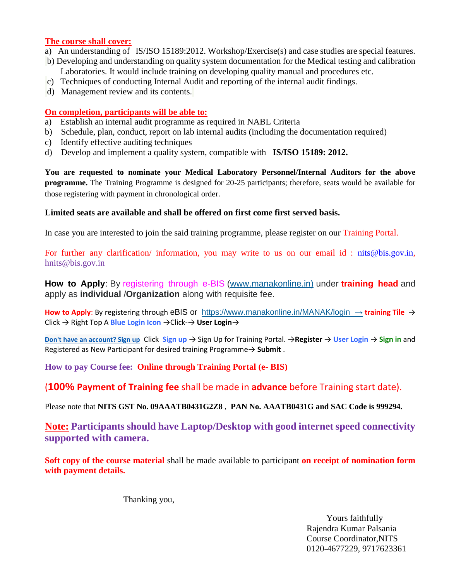#### **The course shall cover:**

- a) An understanding of IS/ISO 15189:2012. Workshop/Exercise(s) and case studies are special features.
- b) Developing and understanding on quality system documentation for the Medical testing and calibration Laboratories. It would include training on developing quality manual and procedures etc.
- c) Techniques of conducting Internal Audit and reporting of the internal audit findings.
- d) Management review and its contents.

#### **On completion, participants will be able to:**

- a) Establish an internal audit programme as required in NABL Criteria
- b) Schedule, plan, conduct, report on lab internal audits (including the documentation required)
- c) Identify effective auditing techniques
- d) Develop and implement a quality system, compatible with **IS/ISO 15189: 2012.**

**You are requested to nominate your Medical Laboratory Personnel/Internal Auditors for the above programme.** The Training Programme is designed for 20-25 participants; therefore, seats would be available for those registering with payment in chronological order.

#### **Limited seats are available and shall be offered on first come first served basis.**

In case you are interested to join the said training programme, please register on our Training Portal.

For further any clarification/ information, you may write to us on our email id : [nits@bis.gov.in,](mailto:nits@bis.gov.in) [hnits@bis.gov.in](mailto:nits@bis.gov.in)

**How to Apply**: By registering through e-BIS (www.manakonline.in) under **training head** and apply as **individual** /**Organization** along with requisite fee.

**How to Apply**: By registering through eBIS or <https://www.manakonline.in/MANAK/login> → **training Tile** → Click → Right Top A **Blue Login Icon** →Click-→ **User Login**→

**[Don't have an account? Sign up](https://www.services.bis.gov.in:8071/trainings/Register/)** Click **Sign up** → Sign Up for Training Portal. →**Register** → **User Login** → **Sign in** and Registered as New Participant for desired training Programme→ **Submit** .

**How to pay Course fee: Online through Training Portal (e- BIS)**

(**100% Payment of Training fee** shall be made in **advance** before Training start date).

Please note that **NITS GST No. 09AAATB0431G2Z8** , **PAN No. AAATB0431G and SAC Code is 999294.**

**Note: Participants should have Laptop/Desktop with good internet speed connectivity supported with camera.** 

**Soft copy of the course material** shall be made available to participant **on receipt of nomination form with payment details.**

Thanking you,

 Yours faithfully Rajendra Kumar Palsania Course Coordinator,NITS 0120-4677229, 9717623361